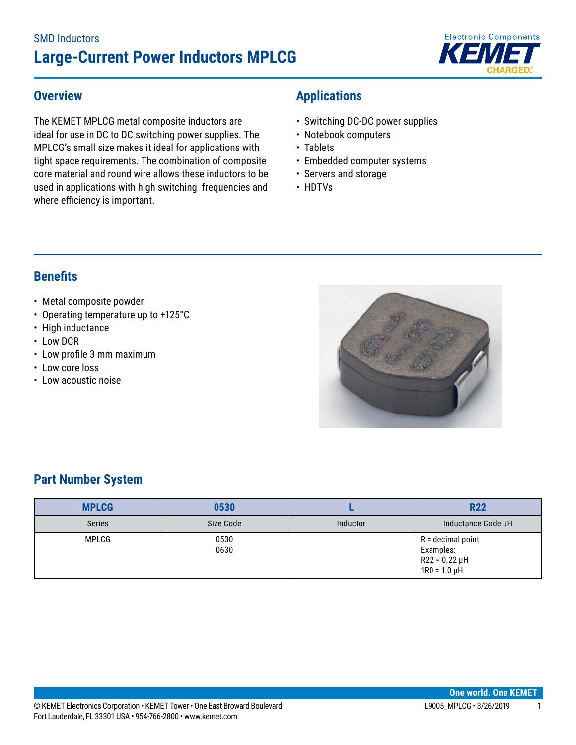# SMD Inductors **Large-Current Power Inductors MPLCG**



### **Overview**

The KEMET MPLCG metal composite inductors are ideal for use in DC to DC switching power supplies. The MPLCG's small size makes it ideal for applications with tight space requirements. The combination of composite core material and round wire allows these inductors to be used in applications with high switching frequencies and where efficiency is important.

## **Applications**

- Switching DC-DC power supplies
- Notebook computers
- Tablets
- Embedded computer systems
- Servers and storage
- HDTVs

### **Benefits**

- Metal composite powder
- Operating temperature up to +125°C
- High inductance
- Low DCR
- • Low profile 3 mm maximum
- Low core loss
- Low acoustic noise



# **Part Number System**

| <b>MPLCG</b>  | 0530         |          | <b>R22</b>                                                                  |
|---------------|--------------|----------|-----------------------------------------------------------------------------|
| <b>Series</b> | Size Code    | Inductor | Inductance Code µH                                                          |
| MPLCG         | 0530<br>0630 |          | $R =$ decimal point<br>Examples:<br>$R22 = 0.22 \mu H$<br>$1R0 = 1.0 \mu H$ |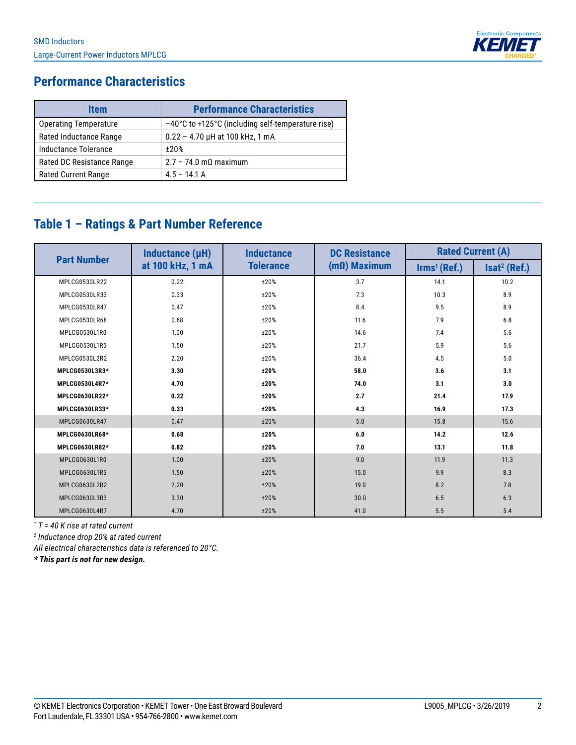

# **Performance Characteristics**

| <b>Item</b>               | <b>Performance Characteristics</b>                |
|---------------------------|---------------------------------------------------|
| Operating Temperature     | -40°C to +125°C (including self-temperature rise) |
| Rated Inductance Range    | $0.22 - 4.70$ µH at 100 kHz, 1 mA                 |
| Inductance Tolerance      | $+20%$                                            |
| Rated DC Resistance Range | $2.7 - 74.0 \text{ m}\Omega$ maximum              |
| Rated Current Range       | $4.5 - 14.1$ A                                    |

# **Table 1 – Ratings & Part Number Reference**

|                    | Inductance (µH)  | <b>Inductance</b> | <b>DC Resistance</b> | <b>Rated Current (A)</b>         |                          |  |
|--------------------|------------------|-------------------|----------------------|----------------------------------|--------------------------|--|
| <b>Part Number</b> | at 100 kHz, 1 mA | <b>Tolerance</b>  | $(mΩ)$ Maximum       | $\mathsf{lrms}^1(\mathsf{Ref.})$ | Isat <sup>2</sup> (Ref.) |  |
| MPLCG0530LR22      | 0.22             | ±20%              | 3.7                  | 14.1                             | 10.2                     |  |
| MPLCG0530LR33      | 0.33             | ±20%              | 7.3                  | 10.3                             | 8.9                      |  |
| MPLCG0530LR47      | 0.47             | ±20%              | 8.4                  | 9.5                              | 8.9                      |  |
| MPLCG0530LR68      | 0.68             | ±20%              | 11.6                 | 7.9                              | 6.8                      |  |
| MPLCG0530L1R0      | 1.00             | ±20%              | 14.6                 | 7.4                              | 5.6                      |  |
| MPLCG0530L1R5      | 1.50             | ±20%              | 21.7                 | 5.9                              | 5.6                      |  |
| MPLCG0530L2R2      | 2.20             | ±20%              | 36.4                 | 4.5                              | 5.0                      |  |
| MPLCG0530L3R3*     | 3.30             | ±20%              | 58.0                 | 3.6                              | 3.1                      |  |
| MPLCG0530L4R7*     | 4.70             | ±20%              | 74.0                 | 3.1                              | 3.0                      |  |
| MPLCG0630LR22*     | 0.22             | ±20%              | 2.7                  | 21.4                             | 17.9                     |  |
| MPLCG0630LR33*     | 0.33             | ±20%              | 4.3                  | 16.9                             | 17.3                     |  |
| MPLCG0630LR47      | 0.47             | ±20%              | 5.0                  | 15.8                             | 15.6                     |  |
| MPLCG0630LR68*     | 0.68             | ±20%              | 6.0                  | 14.2                             | 12.6                     |  |
| MPLCG0630LR82*     | 0.82             | ±20%              | 7.0                  | 13.1                             | 11.8                     |  |
| MPLCG0630L1R0      | 1.00             | ±20%              | 9.0                  | 11.9                             | 11.3                     |  |
| MPLCG0630L1R5      | 1.50             | ±20%              | 15.0                 | 9.9                              | 8.3                      |  |
| MPLCG0630L2R2      | 2.20             | ±20%              | 19.0                 | 8.2                              | 7.8                      |  |
| MPLCG0630L3R3      | 3.30             | ±20%              | 30.0                 | 6.5                              | 6.3                      |  |
| MPLCG0630L4R7      | 4.70             | ±20%              | 41.0                 | 5.5                              | 5.4                      |  |

*1 T = 40 K rise at rated current*

*2 Inductance drop 20% at rated current*

*All electrical characteristics data is referenced to 20°C.*

*\* This part is not for new design.*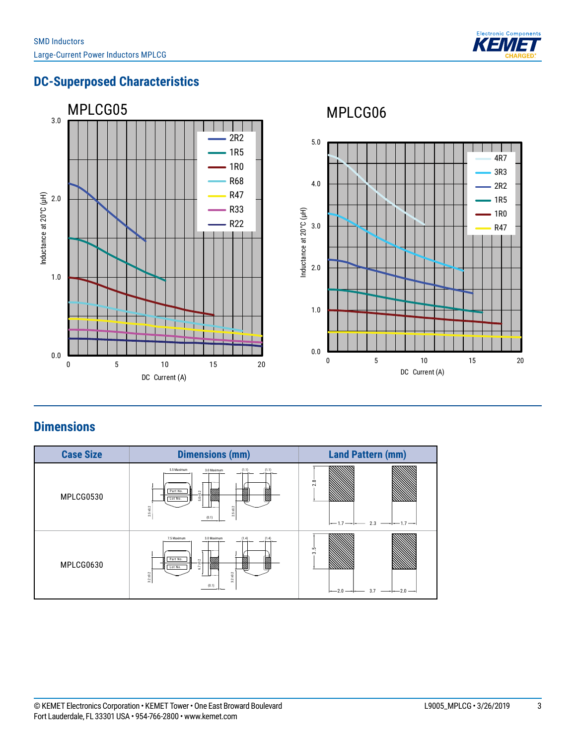

Rated cu rr e n t(A)

14.1 10.3 7.4 5.9 4.5 11.9 9.9 8.2 6.5 5.5

Irms \*<sup>1</sup> (Ref.)

# **DC-Superposed Characteristics**



# **Dimensions**

| <b>Case Size</b> | <b>Dimensions (mm)</b>                                                                                                     | <b>Land Pattern (mm)</b>                                 |
|------------------|----------------------------------------------------------------------------------------------------------------------------|----------------------------------------------------------|
| MPLCG0530        | 5.5 Maximum<br>(1.1)<br>3.0 Maximum<br>(1.1)<br>Part No.<br>$5.0 + 0.$<br>Lot No.<br>$2.5\pm0.2$<br>$2.5 \pm 0.2$<br>(0.1) | 2.8<br>$--1.7--1-$<br>$\overline{\phantom{0}}$           |
| MPLCG0630        | 7.5 Maximum<br>3.0 Maximum<br>(1.4)<br>Part No.<br>6.7 ±0.2<br>Lot No.<br>$3.2 + 0.2$<br>$32 + 0.2$<br>(0.1)               | $3.\overline{5}$<br>$-2.0$ $-1$ $-$ 3.7 $-1$ $-$ 2.0 $-$ |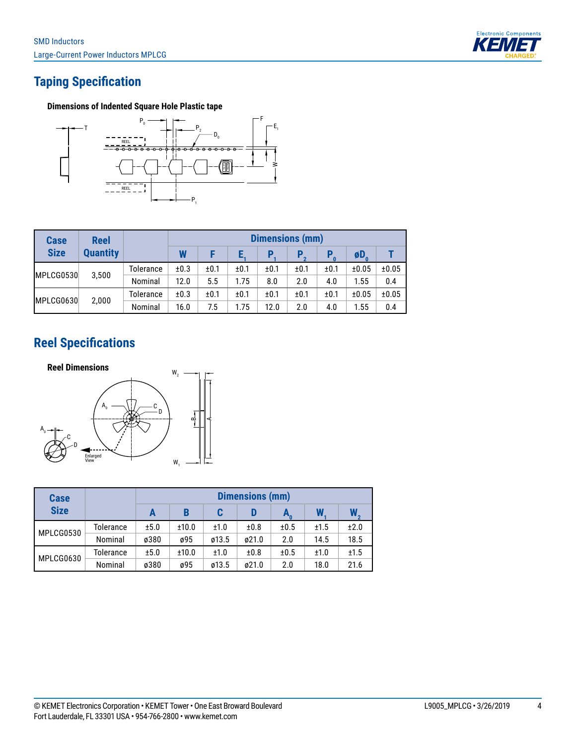

# **Taping Specification**

#### **Dimensions of Indented Square Hole Plastic tape**



| <b>Reel</b>     |           | <b>Dimensions (mm)</b> |      |      |      |      |      |                     |       |
|-----------------|-----------|------------------------|------|------|------|------|------|---------------------|-------|
| <b>Quantity</b> |           | W                      |      |      |      | Р    | P    | $\phi$ <sub>D</sub> |       |
|                 | Tolerance | ±0.3                   | ±0.1 | ±0.1 | ±0.1 | ±0.1 | ±0.1 | ±0.05               | ±0.05 |
|                 | Nominal   | 12.0                   | 5.5  | 1.75 | 8.0  | 2.0  | 4.0  | 1.55                | 0.4   |
| 2,000           | Tolerance | ±0.3                   | ±0.1 | ±0.1 | ±0.1 | ±0.1 | ±0.1 | ±0.05               | ±0.05 |
|                 | Nominal   | 16.0                   | 7.5  | 1.75 | 12.0 | 2.0  | 4.0  | 1.55                | 0.4   |
|                 | 3,500     |                        |      |      |      |      |      |                     |       |

### **Reel Specifications**



| <b>Case</b> |           | <b>Dimensions (mm)</b> |       |       |       |      |      |      |  |
|-------------|-----------|------------------------|-------|-------|-------|------|------|------|--|
| <b>Size</b> |           | А                      | B     | C     | D     |      |      | W    |  |
| MPLCG0530   | Tolerance | ±5.0                   | ±10.0 | ±1.0  | ±0.8  | ±0.5 | ±1.5 | ±2.0 |  |
|             | Nominal   | ø380                   | ø95   | ø13.5 | ø21.0 | 2.0  | 14.5 | 18.5 |  |
| MPLCG0630   | Tolerance | ±5.0                   | ±10.0 | ±1.0  | ±0.8  | ±0.5 | ±1.0 | ±1.5 |  |
|             | Nominal   | ø380                   | ø95   | ø13.5 | ø21.0 | 2.0  | 18.0 | 21.6 |  |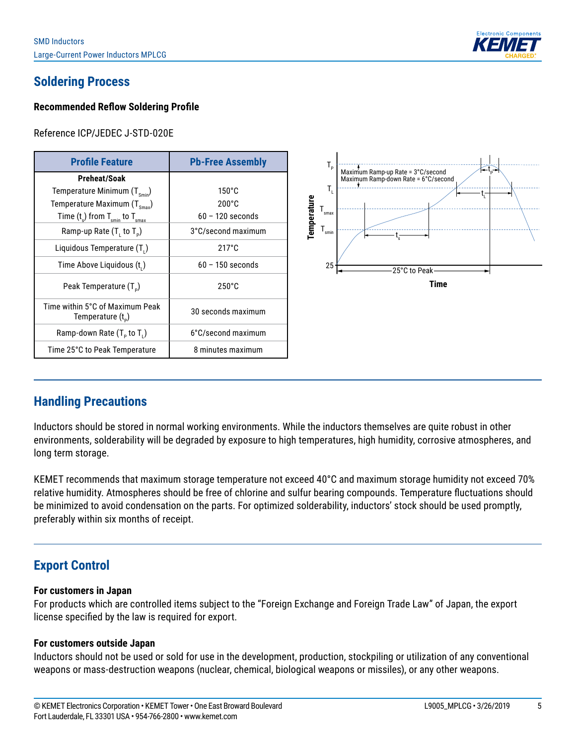

# **Soldering Process**

#### **Recommended Reflow Soldering Profile**

Reference ICP/JEDEC J-STD-020E

| <b>Profile Feature</b>                                   | <b>Pb-Free Assembly</b> |  |  |
|----------------------------------------------------------|-------------------------|--|--|
| Preheat/Soak                                             |                         |  |  |
| Temperature Minimum $(T_{s_{\text{min}}})$               | $150^{\circ}$ C         |  |  |
| Temperature Maximum $(T_{\rm sma})$                      | $200^{\circ}$ C         |  |  |
| Time $(t_s)$ from $T_{\text{smin}}$ to $T_{\text{smax}}$ | $60 - 120$ seconds      |  |  |
| Ramp-up Rate $(T, to T_o)$                               | 3°C/second maximum      |  |  |
| Liquidous Temperature (T <sub>1</sub> )                  | $217^{\circ}$ C         |  |  |
| Time Above Liquidous (t,)                                | $60 - 150$ seconds      |  |  |
| Peak Temperature (T <sub>D</sub> )                       | $250^{\circ}$ C         |  |  |
| Time within 5°C of Maximum Peak<br>Temperature $(t_{n})$ | 30 seconds maximum      |  |  |
| Ramp-down Rate $(T_{p}$ to $T_{1}$ )                     | 6°C/second maximum      |  |  |
| Time 25°C to Peak Temperature                            | 8 minutes maximum       |  |  |



### **Handling Precautions**

Inductors should be stored in normal working environments. While the inductors themselves are quite robust in other environments, solderability will be degraded by exposure to high temperatures, high humidity, corrosive atmospheres, and long term storage.

KEMET recommends that maximum storage temperature not exceed 40°C and maximum storage humidity not exceed 70% relative humidity. Atmospheres should be free of chlorine and sulfur bearing compounds. Temperature fluctuations should be minimized to avoid condensation on the parts. For optimized solderability, inductors' stock should be used promptly, preferably within six months of receipt.

### **Export Control**

#### **For customers in Japan**

For products which are controlled items subject to the "Foreign Exchange and Foreign Trade Law" of Japan, the export license specified by the law is required for export.

#### **For customers outside Japan**

Inductors should not be used or sold for use in the development, production, stockpiling or utilization of any conventional weapons or mass-destruction weapons (nuclear, chemical, biological weapons or missiles), or any other weapons.